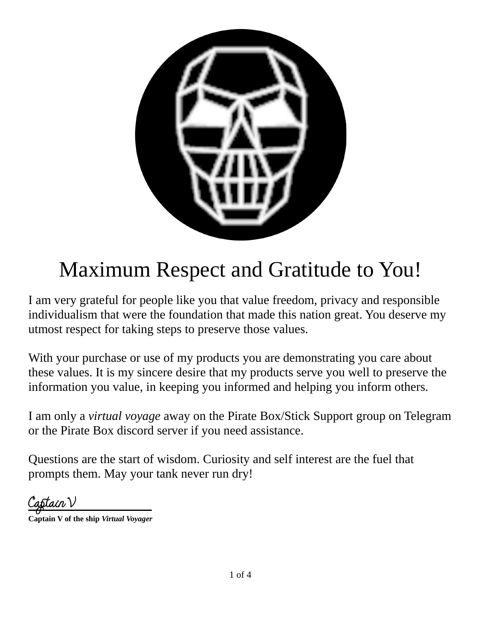

# Maximum Respect and Gratitude to You!

I am very grateful for people like you that value freedom, privacy and responsible individualism that were the foundation that made this nation great. You deserve my utmost respect for taking steps to preserve those values.

With your purchase or use of my products you are demonstrating you care about these values. It is my sincere desire that my products serve you well to preserve the information you value, in keeping you informed and helping you inform others.

I am only a *virtual voyage* away on the Pirate Box/Stick Support group on Telegram or the Pirate Box discord server if you need assistance.

Questions are the start of wisdom. Curiosity and self interest are the fuel that prompts them. May your tank never run dry!

lain V

**Captain V of the ship** *Virtual Voyager*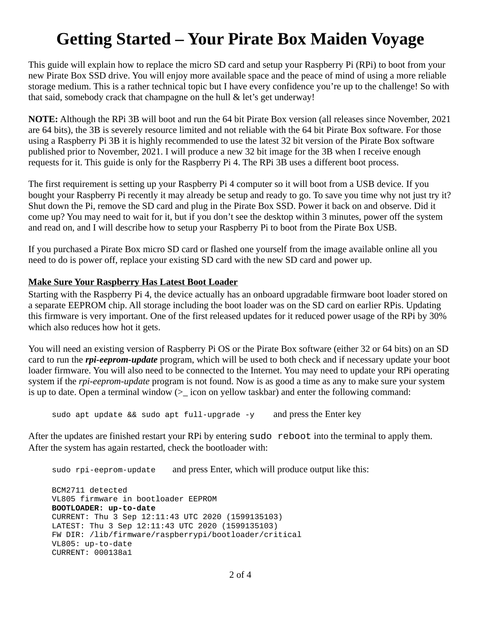# **Getting Started – Your Pirate Box Maiden Voyage**

This guide will explain how to replace the micro SD card and setup your Raspberry Pi (RPi) to boot from your new Pirate Box SSD drive. You will enjoy more available space and the peace of mind of using a more reliable storage medium. This is a rather technical topic but I have every confidence you're up to the challenge! So with that said, somebody crack that champagne on the hull & let's get underway!

**NOTE:** Although the RPi 3B will boot and run the 64 bit Pirate Box version (all releases since November, 2021 are 64 bits), the 3B is severely resource limited and not reliable with the 64 bit Pirate Box software. For those using a Raspberry Pi 3B it is highly recommended to use the latest 32 bit version of the Pirate Box software published prior to November, 2021. I will produce a new 32 bit image for the 3B when I receive enough requests for it. This guide is only for the Raspberry Pi 4. The RPi 3B uses a different boot process.

The first requirement is setting up your Raspberry Pi 4 computer so it will boot from a USB device. If you bought your Raspberry Pi recently it may already be setup and ready to go. To save you time why not just try it? Shut down the Pi, remove the SD card and plug in the Pirate Box SSD. Power it back on and observe. Did it come up? You may need to wait for it, but if you don't see the desktop within 3 minutes, power off the system and read on, and I will describe how to setup your Raspberry Pi to boot from the Pirate Box USB.

If you purchased a Pirate Box micro SD card or flashed one yourself from the image available online all you need to do is power off, replace your existing SD card with the new SD card and power up.

#### **Make Sure Your Raspberry Has Latest Boot Loader**

Starting with the Raspberry Pi 4, the device actually has an onboard upgradable firmware boot loader stored on a separate EEPROM chip. All storage including the boot loader was on the SD card on earlier RPis. Updating this firmware is very important. One of the first released updates for it reduced power usage of the RPi by 30% which also reduces how hot it gets.

You will need an existing version of Raspberry Pi OS or the Pirate Box software (either 32 or 64 bits) on an SD card to run the *rpi-eeprom-update* program, which will be used to both check and if necessary update your boot loader firmware. You will also need to be connected to the Internet. You may need to update your RPi operating system if the *rpi-eeprom-update* program is not found. Now is as good a time as any to make sure your system is up to date. Open a terminal window ( $\geq$  icon on yellow taskbar) and enter the following command:

sudo apt update && sudo apt full-upgrade -y and press the Enter key

After the updates are finished restart your RPi by entering sudo reboot into the terminal to apply them. After the system has again restarted, check the bootloader with:

sudo rpi-eeprom-update and press Enter, which will produce output like this:

 BCM2711 detected VL805 firmware in bootloader EEPROM **BOOTLOADER: up-to-date** CURRENT: Thu 3 Sep 12:11:43 UTC 2020 (1599135103) LATEST: Thu 3 Sep 12:11:43 UTC 2020 (1599135103) FW DIR: /lib/firmware/raspberrypi/bootloader/critical VL805: up-to-date CURRENT: 000138a1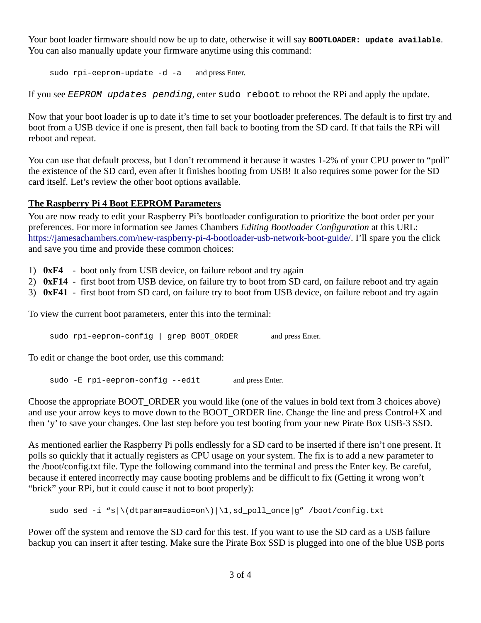Your boot loader firmware should now be up to date, otherwise it will say **BOOTLOADER: update available**. You can also manually update your firmware anytime using this command:

sudo rpi-eeprom-update -d -a and press Enter.

If you see *EEPROM updates pending*, enter sudo reboot to reboot the RPi and apply the update.

Now that your boot loader is up to date it's time to set your bootloader preferences. The default is to first try and boot from a USB device if one is present, then fall back to booting from the SD card. If that fails the RPi will reboot and repeat.

You can use that default process, but I don't recommend it because it wastes 1-2% of your CPU power to "poll" the existence of the SD card, even after it finishes booting from USB! It also requires some power for the SD card itself. Let's review the other boot options available.

#### **The Raspberry Pi 4 Boot EEPROM Parameters**

You are now ready to edit your Raspberry Pi's bootloader configuration to prioritize the boot order per your preferences. For more information see James Chambers *Editing Bootloader Configuration* at this URL: [https://jamesachambers.com/new-raspberry-pi-4-bootloader-usb-network-boot-guide/.](https://jamesachambers.com/new-raspberry-pi-4-bootloader-usb-network-boot-guide/) I'll spare you the click and save you time and provide these common choices:

- 1) **0xF4** boot only from USB device, on failure reboot and try again
- 2) **0xF14** first boot from USB device, on failure try to boot from SD card, on failure reboot and try again
- 3) **0xF41** first boot from SD card, on failure try to boot from USB device, on failure reboot and try again

To view the current boot parameters, enter this into the terminal:

sudo rpi-eeprom-config | grep BOOT ORDER and press Enter.

To edit or change the boot order, use this command:

sudo -E rpi-eeprom-config --edit and press Enter.

Choose the appropriate BOOT\_ORDER you would like (one of the values in bold text from 3 choices above) and use your arrow keys to move down to the BOOT\_ORDER line. Change the line and press Control+X and then 'y' to save your changes. One last step before you test booting from your new Pirate Box USB-3 SSD.

As mentioned earlier the Raspberry Pi polls endlessly for a SD card to be inserted if there isn't one present. It polls so quickly that it actually registers as CPU usage on your system. The fix is to add a new parameter to the /boot/config.txt file. Type the following command into the terminal and press the Enter key. Be careful, because if entered incorrectly may cause booting problems and be difficult to fix (Getting it wrong won't "brick" your RPi, but it could cause it not to boot properly):

sudo sed -i "s|\(dtparam=audio=on\)|\1,sd\_poll\_once|g" /boot/config.txt

Power off the system and remove the SD card for this test. If you want to use the SD card as a USB failure backup you can insert it after testing. Make sure the Pirate Box SSD is plugged into one of the blue USB ports